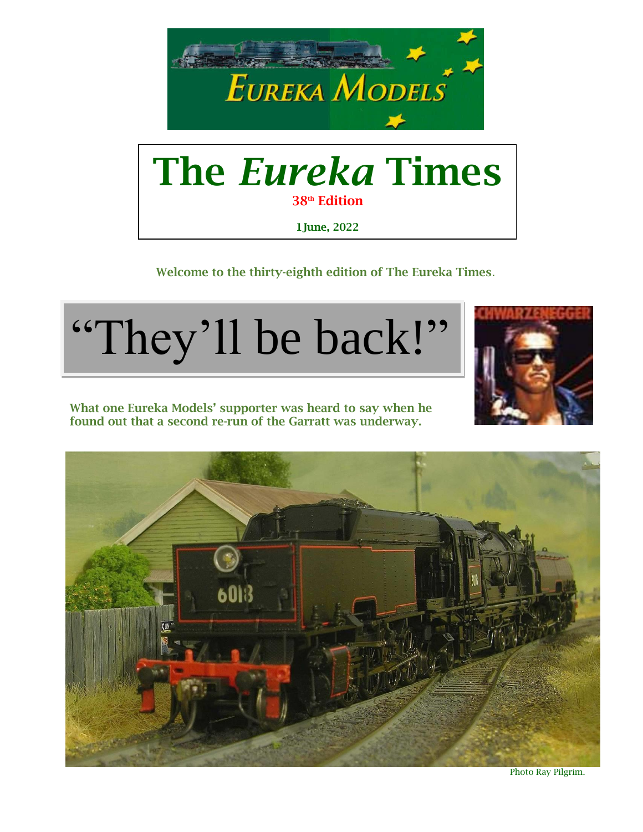

# The *Eureka* Times 38<sup>th</sup> Edition 1June, 2022

Welcome to the thirty-eighth edition of The Eureka Times.









Photo Ray Pilgrim.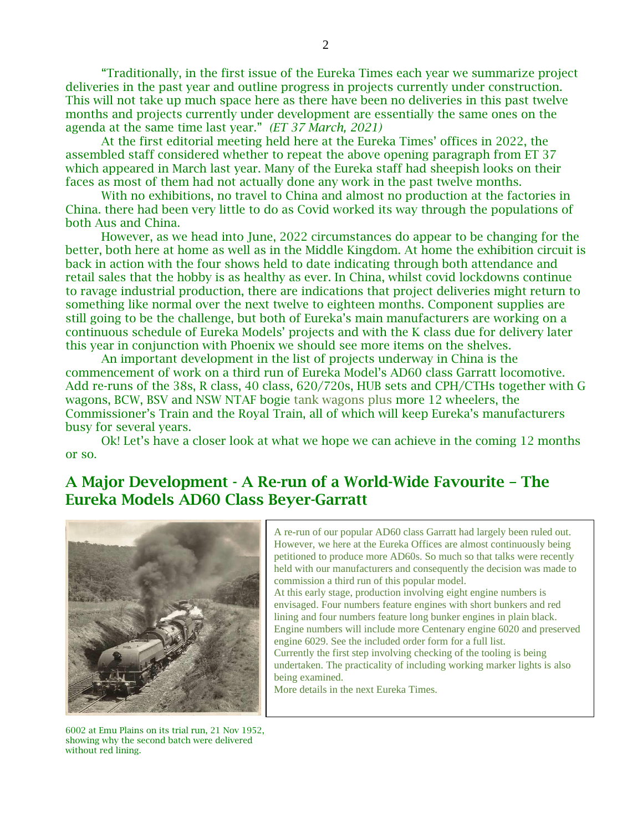"Traditionally, in the first issue of the Eureka Times each year we summarize project deliveries in the past year and outline progress in projects currently under construction. This will not take up much space here as there have been no deliveries in this past twelve months and projects currently under development are essentially the same ones on the agenda at the same time last year." *(ET 37 March, 2021)*

At the first editorial meeting held here at the Eureka Times' offices in 2022, the assembled staff considered whether to repeat the above opening paragraph from ET 37 which appeared in March last year. Many of the Eureka staff had sheepish looks on their faces as most of them had not actually done any work in the past twelve months.

With no exhibitions, no travel to China and almost no production at the factories in China. there had been very little to do as Covid worked its way through the populations of both Aus and China.

However, as we head into June, 2022 circumstances do appear to be changing for the better, both here at home as well as in the Middle Kingdom. At home the exhibition circuit is back in action with the four shows held to date indicating through both attendance and retail sales that the hobby is as healthy as ever. In China, whilst covid lockdowns continue to ravage industrial production, there are indications that project deliveries might return to something like normal over the next twelve to eighteen months. Component supplies are still going to be the challenge, but both of Eureka's main manufacturers are working on a continuous schedule of Eureka Models' projects and with the K class due for delivery later this year in conjunction with Phoenix we should see more items on the shelves.

An important development in the list of projects underway in China is the commencement of work on a third run of Eureka Model's AD60 class Garratt locomotive. Add re-runs of the 38s, R class, 40 class, 620/720s, HUB sets and CPH/CTHs together with G wagons, BCW, BSV and NSW NTAF bogie tank wagons plus more 12 wheelers, the Commissioner's Train and the Royal Train, all of which will keep Eureka's manufacturers busy for several years.

Ok! Let's have a closer look at what we hope we can achieve in the coming 12 months or so.

# A Major Development - A Re-run of a World-Wide Favourite – The Eureka Models AD60 Class Beyer-Garratt



A re-run of our popular AD60 class Garratt had largely been ruled out. However, we here at the Eureka Offices are almost continuously being petitioned to produce more AD60s. So much so that talks were recently held with our manufacturers and consequently the decision was made to commission a third run of this popular model. At this early stage, production involving eight engine numbers is envisaged. Four numbers feature engines with short bunkers and red lining and four numbers feature long bunker engines in plain black. Engine numbers will include more Centenary engine 6020 and preserved engine 6029. See the included order form for a full list. Currently the first step involving checking of the tooling is being undertaken. The practicality of including working marker lights is also being examined. More details in the next Eureka Times.

6002 at Emu Plains on its trial run, 21 Nov 1952, showing why the second batch were delivered without red lining.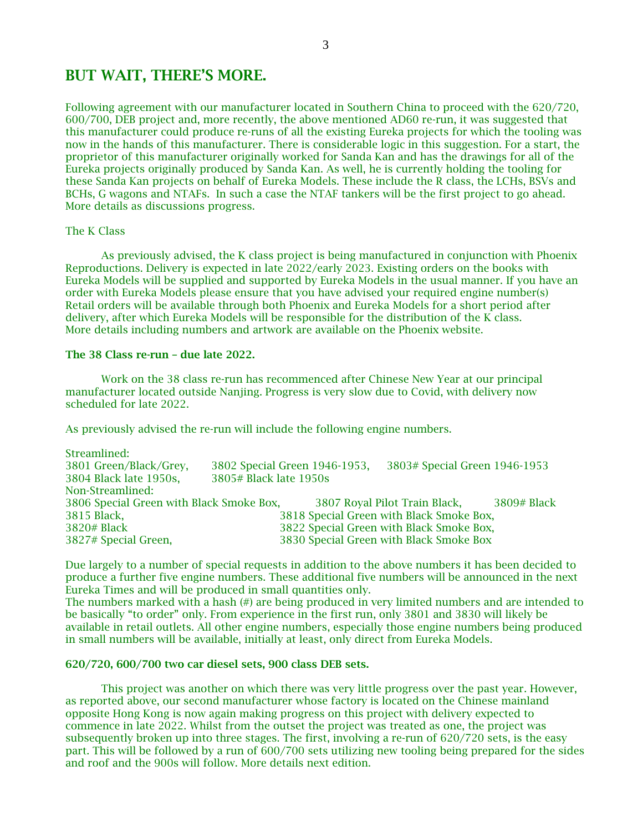# BUT WAIT, THERE'S MORE.

Following agreement with our manufacturer located in Southern China to proceed with the 620/720, 600/700, DEB project and, more recently, the above mentioned AD60 re-run, it was suggested that this manufacturer could produce re-runs of all the existing Eureka projects for which the tooling was now in the hands of this manufacturer. There is considerable logic in this suggestion. For a start, the proprietor of this manufacturer originally worked for Sanda Kan and has the drawings for all of the Eureka projects originally produced by Sanda Kan. As well, he is currently holding the tooling for these Sanda Kan projects on behalf of Eureka Models. These include the R class, the LCHs, BSVs and BCHs, G wagons and NTAFs. In such a case the NTAF tankers will be the first project to go ahead. More details as discussions progress.

## The K Class

As previously advised, the K class project is being manufactured in conjunction with Phoenix Reproductions. Delivery is expected in late 2022/early 2023. Existing orders on the books with Eureka Models will be supplied and supported by Eureka Models in the usual manner. If you have an order with Eureka Models please ensure that you have advised your required engine number(s) Retail orders will be available through both Phoenix and Eureka Models for a short period after delivery, after which Eureka Models will be responsible for the distribution of the K class. More details including numbers and artwork are available on the Phoenix website.

#### The 38 Class re-run – due late 2022.

Work on the 38 class re-run has recommenced after Chinese New Year at our principal manufacturer located outside Nanjing. Progress is very slow due to Covid, with delivery now scheduled for late 2022.

As previously advised the re-run will include the following engine numbers.

| Streamlined:                             |                               |                                          |             |
|------------------------------------------|-------------------------------|------------------------------------------|-------------|
| 3801 Green/Black/Grey,                   | 3802 Special Green 1946-1953, | 3803# Special Green 1946-1953            |             |
| 3804 Black late 1950s,                   | 3805# Black late 1950s        |                                          |             |
| Non-Streamlined:                         |                               |                                          |             |
| 3806 Special Green with Black Smoke Box, |                               | 3807 Royal Pilot Train Black,            | 3809# Black |
| 3815 Black,                              |                               | 3818 Special Green with Black Smoke Box, |             |
| 3820# Black                              |                               | 3822 Special Green with Black Smoke Box, |             |
| 3827# Special Green,                     |                               | 3830 Special Green with Black Smoke Box  |             |

Due largely to a number of special requests in addition to the above numbers it has been decided to produce a further five engine numbers. These additional five numbers will be announced in the next Eureka Times and will be produced in small quantities only.

The numbers marked with a hash (#) are being produced in very limited numbers and are intended to be basically "to order" only. From experience in the first run, only 3801 and 3830 will likely be available in retail outlets. All other engine numbers, especially those engine numbers being produced in small numbers will be available, initially at least, only direct from Eureka Models.

## 620/720, 600/700 two car diesel sets, 900 class DEB sets.

This project was another on which there was very little progress over the past year. However, as reported above, our second manufacturer whose factory is located on the Chinese mainland opposite Hong Kong is now again making progress on this project with delivery expected to commence in late 2022. Whilst from the outset the project was treated as one, the project was subsequently broken up into three stages. The first, involving a re-run of 620/720 sets, is the easy part. This will be followed by a run of 600/700 sets utilizing new tooling being prepared for the sides and roof and the 900s will follow. More details next edition.